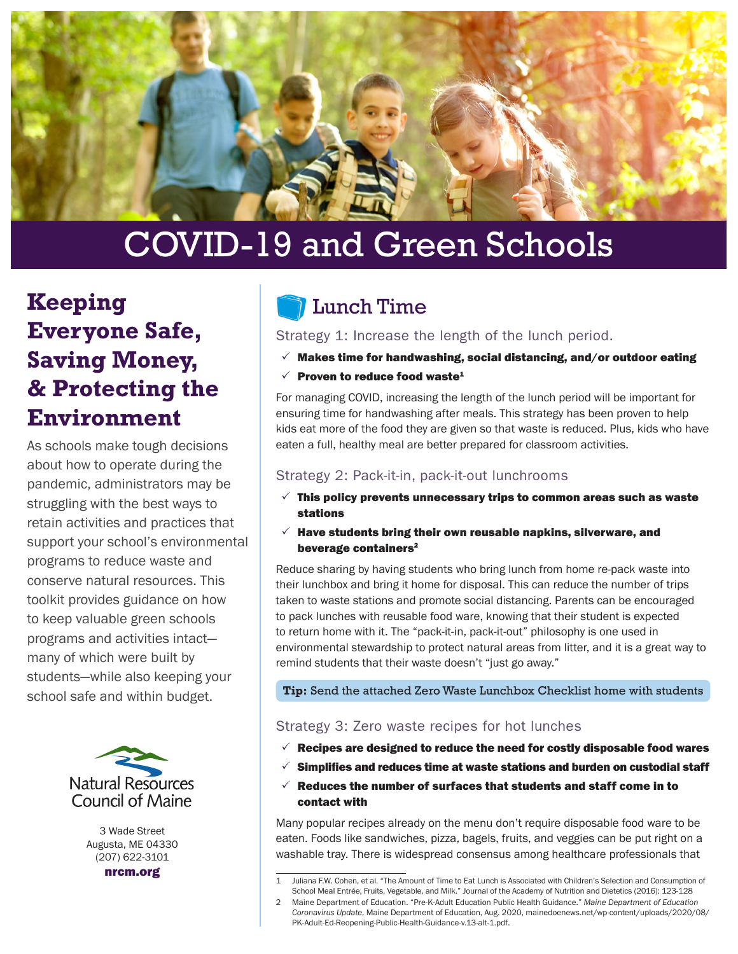

# COVID-19 and Green Schools

# **Keeping Everyone Safe, Saving Money, & Protecting the Environment**

As schools make tough decisions about how to operate during the pandemic, administrators may be struggling with the best ways to retain activities and practices that support your school's environmental programs to reduce waste and conserve natural resources. This toolkit provides guidance on how to keep valuable green schools programs and activities intact many of which were built by students—while also keeping your school safe and within budget.



3 Wade Street Augusta, ME 04330 (207) 622-3101

nrcm.org

## Lunch Time

Strategy 1: Increase the length of the lunch period.

- $\checkmark$  Makes time for handwashing, social distancing, and/or outdoor eating
- $\sqrt{2}$  Proven to reduce food waste<sup>1</sup>

For managing COVID, increasing the length of the lunch period will be important for ensuring time for handwashing after meals. This strategy has been proven to help kids eat more of the food they are given so that waste is reduced. Plus, kids who have eaten a full, healthy meal are better prepared for classroom activities.

#### Strategy 2: Pack-it-in, pack-it-out lunchrooms

- $\checkmark$  This policy prevents unnecessary trips to common areas such as waste stations
- $\checkmark$  Have students bring their own reusable napkins, silverware, and beverage containers<sup>2</sup>

Reduce sharing by having students who bring lunch from home re-pack waste into their lunchbox and bring it home for disposal. This can reduce the number of trips taken to waste stations and promote social distancing. Parents can be encouraged to pack lunches with reusable food ware, knowing that their student is expected to return home with it. The "pack-it-in, pack-it-out" philosophy is one used in environmental stewardship to protect natural areas from litter, and it is a great way to remind students that their waste doesn't "just go away."

**Tip:** Send the attached Zero Waste Lunchbox Checklist home with students

#### Strategy 3: Zero waste recipes for hot lunches

- $\checkmark$  Recipes are designed to reduce the need for costly disposable food wares
- $\checkmark$  Simplifies and reduces time at waste stations and burden on custodial staff
- $\checkmark$  Reduces the number of surfaces that students and staff come in to contact with

Many popular recipes already on the menu don't require disposable food ware to be eaten. Foods like sandwiches, pizza, bagels, fruits, and veggies can be put right on a washable tray. There is widespread consensus among healthcare professionals that

<sup>1</sup> Juliana F.W. Cohen, et al. "The Amount of Time to Eat Lunch is Associated with Children's Selection and Consumption of School Meal Entrée, Fruits, Vegetable, and Milk." Journal of the Academy of Nutrition and Dietetics (2016): 123-128

<sup>2</sup> Maine Department of Education. "Pre-K-Adult Education Public Health Guidance." *Maine Department of Education Coronavirus Update*, Maine Department of Education, Aug. 2020, mainedoenews.net/wp-content/uploads/2020/08/ PK-Adult-Ed-Reopening-Public-Health-Guidance-v.13-alt-1.pdf.